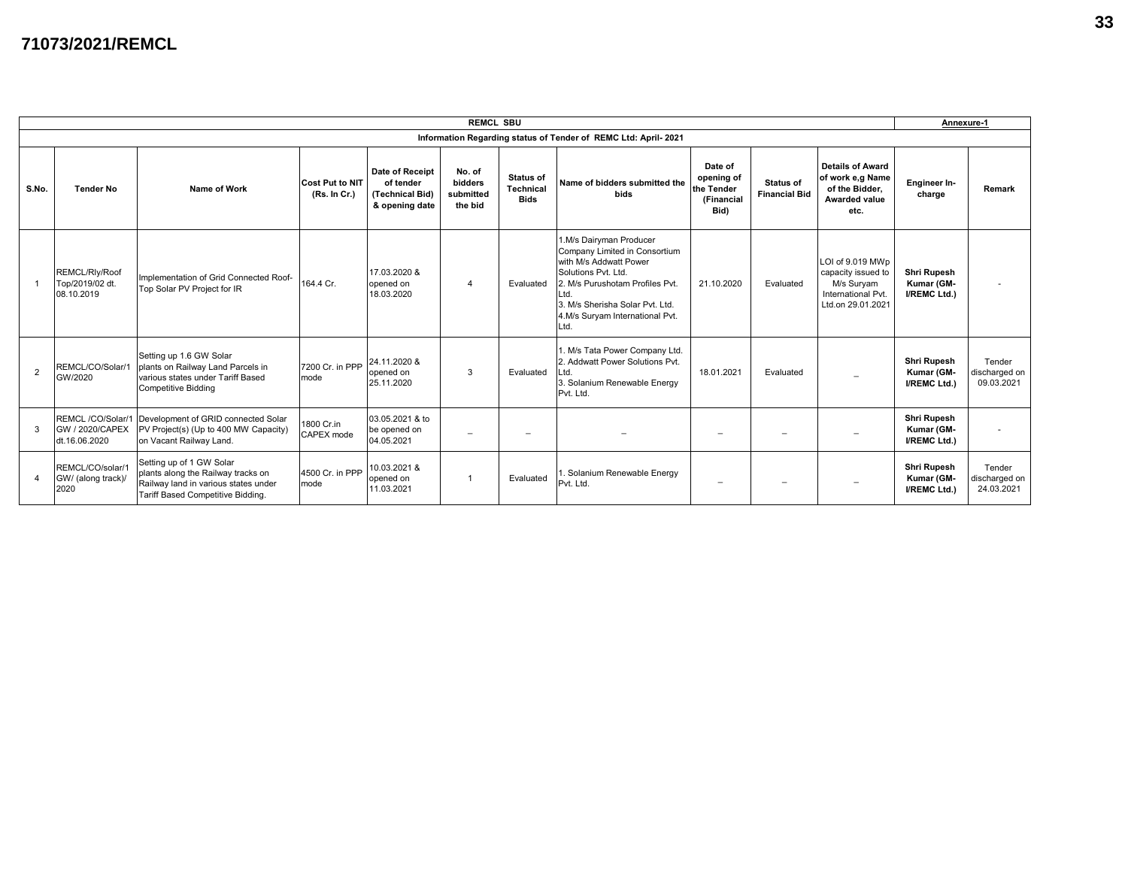## **71073/2021/REMCL**

|                |                                                 |                                                                                                                                             |                                                                                                                                                                                                                                                   |                                               | <b>REMCL SBU</b>                                          |                                                                                                                                    |                                                                                                                                                                                                                                    |                          |           |                                                                                                 | Annexure-1                                              |                                       |
|----------------|-------------------------------------------------|---------------------------------------------------------------------------------------------------------------------------------------------|---------------------------------------------------------------------------------------------------------------------------------------------------------------------------------------------------------------------------------------------------|-----------------------------------------------|-----------------------------------------------------------|------------------------------------------------------------------------------------------------------------------------------------|------------------------------------------------------------------------------------------------------------------------------------------------------------------------------------------------------------------------------------|--------------------------|-----------|-------------------------------------------------------------------------------------------------|---------------------------------------------------------|---------------------------------------|
|                |                                                 |                                                                                                                                             |                                                                                                                                                                                                                                                   |                                               |                                                           |                                                                                                                                    | Information Regarding status of Tender of REMC Ltd: April-2021                                                                                                                                                                     |                          |           |                                                                                                 |                                                         |                                       |
| S.No.          | <b>Tender No</b>                                | Name of Work                                                                                                                                | Date of Receipt<br>No. of<br><b>Status of</b><br><b>Cost Put to NIT</b><br>Name of bidders submitted the<br>of tender<br>bidders<br>Technical<br>submitted<br>bids<br>(Technical Bid)<br>(Rs. In Cr.)<br><b>Bids</b><br>the bid<br>& opening date |                                               | Date of<br>opening of<br>the Tender<br>(Financial<br>Bid) | <b>Details of Award</b><br>of work e.g Name<br><b>Status of</b><br>of the Bidder.<br><b>Financial Bid</b><br>Awarded value<br>etc. |                                                                                                                                                                                                                                    | Engineer In-<br>charge   | Remark    |                                                                                                 |                                                         |                                       |
|                | REMCL/RIy/Roof<br>Top/2019/02 dt.<br>08.10.2019 | Implementation of Grid Connected Roof-<br>Top Solar PV Project for IR                                                                       | 164.4 Cr.                                                                                                                                                                                                                                         | 17.03.2020 &<br>opened on<br>18.03.2020       | $\overline{4}$                                            | Evaluated                                                                                                                          | 1.M/s Dairyman Producer<br>Company Limited in Consortium<br>with M/s Addwatt Power<br>Solutions Pvt. Ltd.<br>2. M/s Purushotam Profiles Pvt.<br>Ltd.<br>3. M/s Sherisha Solar Pvt. Ltd.<br>4.M/s Suryam International Pvt.<br>Ltd. | 21.10.2020               | Evaluated | LOI of 9.019 MWp<br>capacity issued to<br>M/s Suryam<br>International Pvt.<br>Ltd.on 29.01.2021 | Shri Rupesh<br>Kumar (GM-<br>I/REMC Ltd.)               | ٠                                     |
| $\overline{2}$ | REMCL/CO/Solar/1<br>GW/2020                     | Setting up 1.6 GW Solar<br>plants on Railway Land Parcels in<br>various states under Tariff Based<br>Competitive Bidding                    | 7200 Cr. in PPP<br>mode                                                                                                                                                                                                                           | 24.11.2020 &<br>opened on<br>25.11.2020       | 3                                                         | Evaluated                                                                                                                          | 1. M/s Tata Power Company Ltd.<br>2. Addwatt Power Solutions Pvt.<br>_td.<br>3. Solanium Renewable Energy<br>Pvt. Ltd.                                                                                                             | 18.01.2021               | Evaluated | $\overline{\phantom{0}}$                                                                        | <b>Shri Rupesh</b><br>Kumar (GM-<br>I/REMC Ltd.)        | Tender<br>discharged on<br>09.03.2021 |
| 3              | GW / 2020/CAPEX<br>dt.16.06.2020                | REMCL /CO/Solar/1 Development of GRID connected Solar<br>PV Project(s) (Up to 400 MW Capacity)<br>on Vacant Railway Land.                   | 1800 Cr.in<br>CAPEX mode                                                                                                                                                                                                                          | 03.05.2021 & to<br>be opened on<br>04.05.2021 | $\overline{\phantom{0}}$                                  | $\overline{\phantom{0}}$                                                                                                           |                                                                                                                                                                                                                                    | $\overline{\phantom{0}}$ |           |                                                                                                 | <b>Shri Rupesh</b><br>Kumar (GM-<br>I/REMC Ltd.)        |                                       |
| $\overline{4}$ | REMCL/CO/solar/1<br>GW/ (along track)/<br>2020  | Setting up of 1 GW Solar<br>plants along the Railway tracks on<br>Railway land in various states under<br>Tariff Based Competitive Bidding. | 4500 Cr. in PPP<br>mode                                                                                                                                                                                                                           | 10.03.2021 &<br>opened on<br>11.03.2021       | -1                                                        | Evaluated                                                                                                                          | . Solanium Renewable Energy<br>Pvt. Ltd.                                                                                                                                                                                           |                          |           |                                                                                                 | <b>Shri Rupesh</b><br>Kumar (GM-<br><b>I/REMC Ltd.)</b> | Tender<br>discharged on<br>24.03.2021 |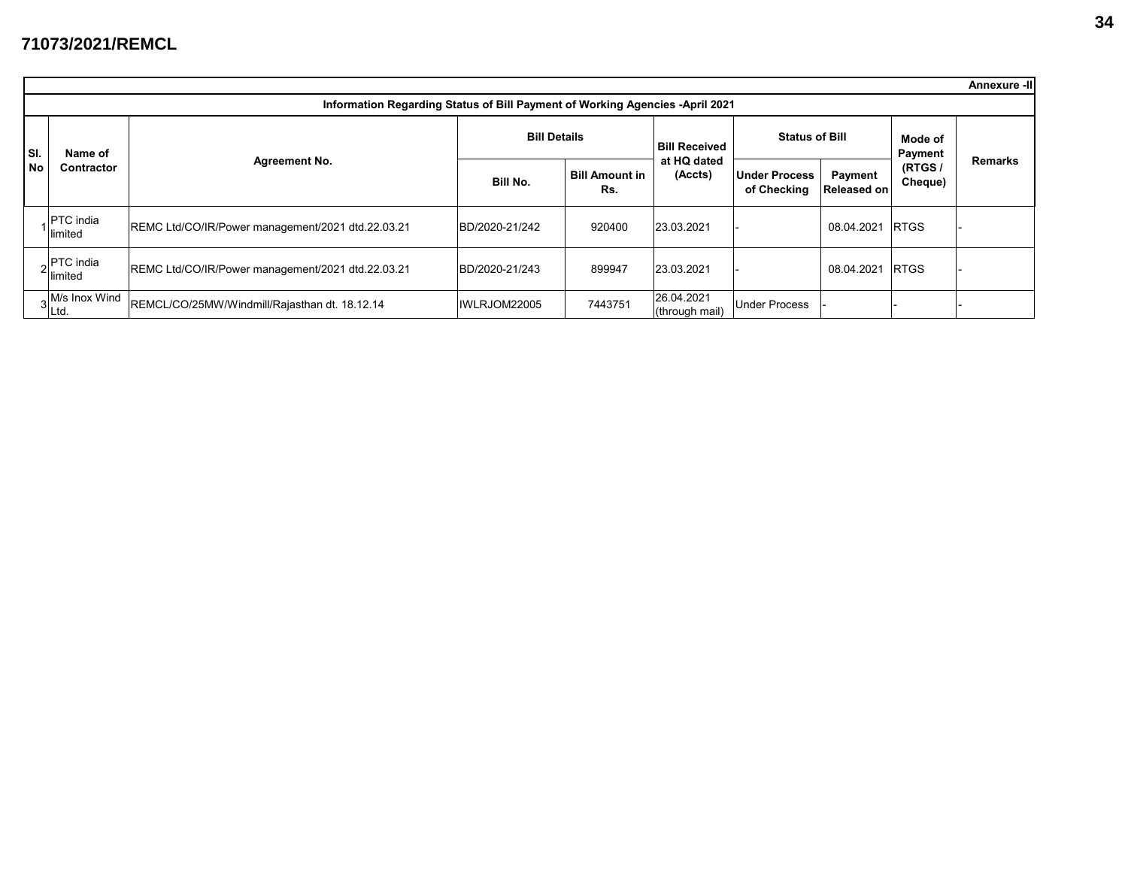| Information Regarding Status of Bill Payment of Working Agencies -April 2021 |                                           |                                                   |                     |                         |                              |                                     |                               |                    |                |  |  |  |  |  |
|------------------------------------------------------------------------------|-------------------------------------------|---------------------------------------------------|---------------------|-------------------------|------------------------------|-------------------------------------|-------------------------------|--------------------|----------------|--|--|--|--|--|
| SI.<br>No                                                                    | Name of                                   |                                                   | <b>Bill Details</b> |                         | <b>Bill Received</b>         | <b>Status of Bill</b>               |                               | Mode of<br>Payment |                |  |  |  |  |  |
|                                                                              | Contractor                                | <b>Agreement No.</b>                              | Bill No.            | l Bill Amount in<br>Rs. | at HQ dated<br>(Accts)       | <b>Under Process</b><br>of Checking | Payment<br><b>Released on</b> | (RTGS)<br>Cheque)  | <b>Remarks</b> |  |  |  |  |  |
|                                                                              | PTC india.<br>limited                     | REMC Ltd/CO/IR/Power management/2021 dtd.22.03.21 | BD/2020-21/242      | 920400                  | 23.03.2021                   |                                     | 08.04.2021                    | <b>RTGS</b>        |                |  |  |  |  |  |
|                                                                              | $\sim$ PTC india<br><sup>2</sup> llimited | REMC Ltd/CO/IR/Power management/2021 dtd.22.03.21 | BD/2020-21/243      | 899947                  | 23.03.2021                   |                                     | 08.04.2021                    | <b>RTGS</b>        |                |  |  |  |  |  |
|                                                                              | 3 <sup>M/s</sup> Inox Wind                | REMCL/CO/25MW/Windmill/Rajasthan dt. 18.12.14     | IWLRJOM22005        | 7443751                 | 26.04.2021<br>(through mail) | <b>Under Process</b>                |                               |                    |                |  |  |  |  |  |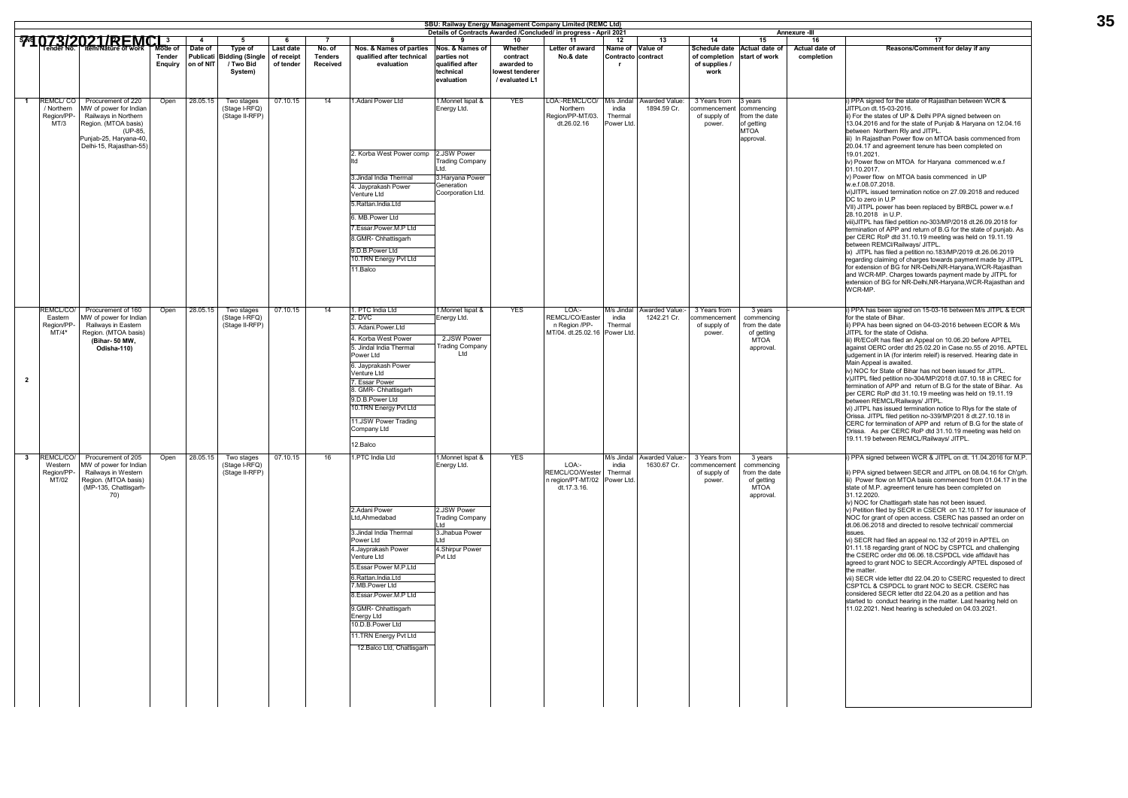|                         |                                                     |                                                                                                                                                             |                          |                         |                                                              |                                       |                                      |                                                                                                                                                                                                                                                                                                                                          |                                                                                                                             |                                                                      | <u> SBU: Railway Energy Management Company Limited (REMC Ltd)</u><br>Details of Contracts Awarded /Concluded/ in progress - April 2021 |                                              |                                           |                                                         |                                                                                  | Annexure -III                |                                                                                                                                                                                                                                                                                                                                                                                                                                                                                                                                                                                                                                                                                                                                                                                                                                                                                                                                                                                                                                                                                                                                                                                                                                                               |
|-------------------------|-----------------------------------------------------|-------------------------------------------------------------------------------------------------------------------------------------------------------------|--------------------------|-------------------------|--------------------------------------------------------------|---------------------------------------|--------------------------------------|------------------------------------------------------------------------------------------------------------------------------------------------------------------------------------------------------------------------------------------------------------------------------------------------------------------------------------------|-----------------------------------------------------------------------------------------------------------------------------|----------------------------------------------------------------------|----------------------------------------------------------------------------------------------------------------------------------------|----------------------------------------------|-------------------------------------------|---------------------------------------------------------|----------------------------------------------------------------------------------|------------------------------|---------------------------------------------------------------------------------------------------------------------------------------------------------------------------------------------------------------------------------------------------------------------------------------------------------------------------------------------------------------------------------------------------------------------------------------------------------------------------------------------------------------------------------------------------------------------------------------------------------------------------------------------------------------------------------------------------------------------------------------------------------------------------------------------------------------------------------------------------------------------------------------------------------------------------------------------------------------------------------------------------------------------------------------------------------------------------------------------------------------------------------------------------------------------------------------------------------------------------------------------------------------|
|                         |                                                     | M073/2021/REMCL                                                                                                                                             |                          | $\overline{\mathbf{4}}$ | 5                                                            | 6                                     | $\overline{7}$                       | 8                                                                                                                                                                                                                                                                                                                                        |                                                                                                                             | 10                                                                   | 11                                                                                                                                     | 12                                           | 13                                        | 14                                                      | 15                                                                               | 16                           | 17                                                                                                                                                                                                                                                                                                                                                                                                                                                                                                                                                                                                                                                                                                                                                                                                                                                                                                                                                                                                                                                                                                                                                                                                                                                            |
|                         |                                                     |                                                                                                                                                             | Tender<br><b>Enquiry</b> | Date of<br>on of NIT    | Type of<br>Publicati Bidding (Single<br>/ Two Bid<br>System) | I ast date<br>of receipt<br>of tender | No. of<br><b>Tenders</b><br>Received | Nos. & Names of parties Nos. & Names of<br>qualified after technical<br>evaluation                                                                                                                                                                                                                                                       | parties not<br>qualified after<br>technical<br>evaluation                                                                   | Whether<br>contract<br>awarded to<br>owest tendere<br>/ evaluated L1 | Letter of award<br>No.& date                                                                                                           | Name of<br>Contracto contract                | Value of                                  | Schedule date<br>of completion<br>of supplies /<br>work | Actual date of<br>start of work                                                  | Actual date of<br>completion | Reasons/Comment for delay if any                                                                                                                                                                                                                                                                                                                                                                                                                                                                                                                                                                                                                                                                                                                                                                                                                                                                                                                                                                                                                                                                                                                                                                                                                              |
| $\overline{1}$          | <b>REMCL/CO</b><br>/ Northern<br>Region/PP-<br>MT/3 | Procurement of 220<br>MW of power for Indian<br>Railways in Northern<br>Region. (MTOA basis)<br>(UP-85<br>Punjab-25, Haryana-40,<br>Delhi-15, Rajasthan-55) | Open                     | 28.05.15                | Two stages<br>(Stage I-RFQ)<br>(Stage II-RFP)                | 07.10.15                              | 14                                   | 1.Adani Power Ltd<br>2. Korba West Power comp<br>3. Jindal India Thermal<br>4. Jayprakash Power<br>Venture Ltd<br>5.Rattan.India.Ltd<br>6. MB.Power Ltd<br>7.Essar.Power.M.P Ltd<br>8.GMR- Chhattisgarh<br>9.D.B.Power Ltd<br>10.TRN Energy Pvt Ltd<br>11.Balco                                                                          | Monnet Ispat &<br>Energy Ltd.<br>2.JSW Power<br>rading Compan<br>ht I<br>3. Haryana Power<br>Generation<br>Coorporation Ltd | <b>YES</b>                                                           | LOA:-REMCL/CO/<br>Northern<br>Region/PP-MT/03.<br>dt.26.02.16                                                                          | M/s Jindal<br>india<br>Thermal<br>Power Ltd. | Awarded Value:<br>1894.59 Cr.             | 3 Years from<br>ommencement<br>of supply of<br>power.   | 3 years<br>commencing<br>from the date<br>of getting<br><b>MTOA</b><br>approval. |                              | PPA signed for the state of Rajasthan between WCR &<br>JITPLon dt.15-03-2016.<br>ii) For the states of UP & Delhi PPA signed between on<br>13.04.2016 and for the state of Punjab & Haryana on 12.04.16<br>between Northern Rly and JITPL<br>iii) In Rajasthan Power flow on MTOA basis commenced from<br>20.04.17 and agreement tenure has been completed on<br>19.01.2021.<br>iv) Power flow on MTOA for Haryana commenced w.e.f<br>01.10.2017.<br>v) Power flow on MTOA basis commenced in UP<br>w.e.f.08.07.2018.<br>vi)JITPL issued termination notice on 27.09.2018 and reduced<br>DC to zero in U.P<br>VII) JITPL power has been replaced by BRBCL power w.e.f<br>28.10.2018 in U.P.<br>viii)JITPL has filed petition no-303/MP/2018 dt.26.09.2018 for<br>termination of APP and return of B.G for the state of punjab. As<br>per CERC RoP dtd 31.10.19 meeting was held on 19.11.19<br>between REMCI/Railways/ JITPL.<br>ix) JITPL has filed a petition no.183/MP/2019 dt.26.06.2019<br>regarding claiming of charges towards payment made by JITPL<br>for extension of BG for NR-Delhi, NR-Haryana, WCR-Rajasthan<br>and WCR-MP. Charges towards payment made by JITPL for<br>extension of BG for NR-Delhi, NR-Haryana, WCR-Rajasthan and<br>WCR-MP. |
| $\overline{2}$          | REMCL/CO.<br>Eastern<br>Region/PP-<br>$MT/4*$       | Procurement of 160<br>MW of power for Indian<br>Railways in Eastern<br>Region, (MTOA basis)<br>(Bihar- 50 MW,<br>Odisha-110)                                | Open                     | 28.05.15                | Two stages<br>(Stage I-RFQ)<br>(Stage II-RFP)                | 07.10.15                              | 14                                   | 1. PTC India Ltd<br>2. DVC<br>3. Adani.Power.Ltd<br>4. Korba West Power<br>5. Jindal India Thermal<br>Power Ltd<br>6. Jayprakash Power<br>Venture Ltd<br>. Essar Power<br>. GMR- Chhattisgarh<br>9.D.B.Power Ltd<br>10. TRN Energy Pvt Ltd<br>11.JSW Power Trading<br>Company Ltd<br>12.Balco                                            | 1. Monnet Ispat &<br>Energy Ltd.<br>2.JSW Power<br><b>Trading Company</b><br>Ltd.                                           | <b>YES</b>                                                           | LOA:-<br>REMCL/CO/Easter<br>n Region /PP-<br>MT/04. dt.25.02.16 Power Ltd.                                                             | M/s Jindal<br>india<br>Thermal               | Awarded Value:-<br>1242.21 Cr.            | 3 Years from<br>commencement<br>of supply of<br>power.  | 3 years<br>commencing<br>from the date<br>of getting<br><b>MTOA</b><br>approval. |                              | i) PPA has been signed on 15-03-16 between M/s JITPL & ECR<br>for the state of Bihar.<br>i) PPA has been signed on 04-03-2016 between ECOR & M/s<br>JITPL for the state of Odisha.<br>iii) IR/ECoR has filed an Appeal on 10.06.20 before APTEL<br>against OERC order dtd 25.02.20 in Case no.55 of 2016. APTEL<br>judgement in IA (for interim releif) is reserved. Hearing date in<br>Main Appeal is awaited.<br>iv) NOC for State of Bihar has not been issued for JITPL.<br>v)JITPL filed petition no-304/MP/2018 dt.07.10.18 in CREC for<br>termination of APP and return of B.G for the state of Bihar. As<br>per CERC RoP dtd 31.10.19 meeting was held on 19.11.19<br>between REMCL/Railways/ JITPL.<br>vi) JITPL has issued termination notice to RIvs for the state of<br>Orissa. JITPL filed petition no-339/MP/201 8 dt.27.10.18 in<br>CERC for termination of APP and return of B.G for the state of<br>Orissa. As per CERC RoP dtd 31.10.19 meeting was held on<br>19.11.19 between REMCL/Railways/ JITPL.                                                                                                                                                                                                                                      |
| $\overline{\mathbf{3}}$ | REMCL/CO/<br>Western<br>Region/PP-<br>MT/02         | Procurement of 205<br>MW of power for Indian<br>Railways in Western<br>Region. (MTOA basis)<br>(MP-135, Chattisgarh-<br>70)                                 | Open                     | 28.05.15                | Two stages<br>(Stage I-RFQ)<br>(Stage II-RFP)                | 07.10.15                              | 16                                   | 1.PTC India Ltd<br>2.Adani Power<br>td,Ahmedabad<br>3. Jindal India Thermal<br>Power Ltd<br>4. Jayprakash Power<br>Venture Ltd<br>5.Essar Power M.P.Ltd<br>6.Rattan.India.Ltd<br>7.MB. Power Ltd<br>8.Essar.Power.M.P Ltd<br>9.GMR- Chhattisgarh<br>Energy Ltd<br>10.D.B.Power Ltd<br>11.TRN Energy Pvt Ltd<br>12.Balco Ltd, Chattisgarh | Monnet Ispat &<br>Energy Ltd.<br>2.JSW Power<br>rading Company<br>3. Jhabua Power<br>ht I<br>4. Shirpur Power<br>Pvt Ltd    | <b>YES</b>                                                           | LOA:-<br>REMCL/CO/Wester<br>n region/PT-MT/02<br>dt.17.3.16.                                                                           | india<br>Thermal<br>Power Ltd                | M/s Jindal Awarded Value:-<br>1630.67 Cr. | 3 Years from<br>ommencement<br>of supply of<br>power    | 3 years<br>commencino<br>from the date<br>of getting<br><b>MTOA</b><br>approval. |                              | i) PPA signed between WCR & JITPL on dt. 11.04.2016 for M.P.<br>ii) PPA signed between SECR and JITPL on 08.04.16 for Ch'grh.<br>iii) Power flow on MTOA basis commenced from 01.04.17 in the<br>state of M.P. agreement tenure has been completed on<br>31.12.2020<br>iv) NOC for Chattisgarh state has not been issued.<br>v) Petition filed by SECR in CSECR on 12.10.17 for issunace of<br>NOC for grant of open access. CSERC has passed an order on<br>dt.06.06.2018 and directed to resolve technical/ commercial<br>issues<br>vi) SECR had filed an appeal no.132 of 2019 in APTEL on<br>01.11.18 regarding grant of NOC by CSPTCL and challenging<br>the CSERC order dtd 06.06.18.CSPDCL vide affidavit has<br>agreed to grant NOC to SECR.Accordingly APTEL disposed of<br>the matter.<br>vii) SECR vide letter dtd 22.04.20 to CSERC requested to direct<br>CSPTCL & CSPDCL to grant NOC to SECR. CSERC has<br>considered SECR letter dtd 22.04.20 as a petition and has<br>started to conduct hearing in the matter. Last hearing held on<br>11.02.2021. Next hearing is scheduled on 04.03.2021                                                                                                                                                  |